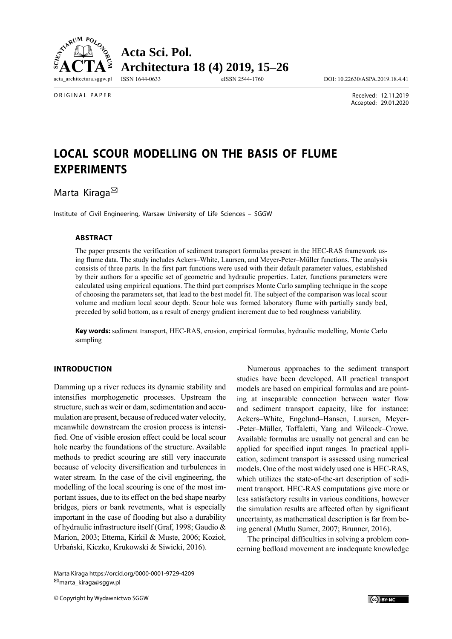

**Acta Sci. Pol. Architectura 18 (4) 2019, 15–26**

ISSN 1644-0633 eISSN 2544-1760 DOI: 10.22630/ASPA.2019.18.4.41

ORIGINAL PAPER

 Received: 12.11.2019 Accepted: 29.01.2020

# **LOCAL SCOUR MODELLING ON THE BASIS OF FLUME EXPERIMENTS**

Marta Kiraga<sup>⊠</sup>

Institute of Civil Engineering, Warsaw University of Life Sciences – SGGW

#### **ABSTRACT**

The paper presents the verification of sediment transport formulas present in the HEC-RAS framework using flume data. The study includes Ackers–White, Laursen, and Meyer-Peter–Müller functions. The analysis consists of three parts. In the first part functions were used with their default parameter values, established by their authors for a specific set of geometric and hydraulic properties. Later, functions parameters were calculated using empirical equations. The third part comprises Monte Carlo sampling technique in the scope of choosing the parameters set, that lead to the best model fit. The subject of the comparison was local scour volume and medium local scour depth. Scour hole was formed laboratory flume with partially sandy bed, preceded by solid bottom, as a result of energy gradient increment due to bed roughness variability.

**Key words:** sediment transport, HEC-RAS, erosion, empirical formulas, hydraulic modelling, Monte Carlo sampling

# **INTRODUCTION**

Damming up a river reduces its dynamic stability and intensifies morphogenetic processes. Upstream the structure, such as weir or dam, sedimentation and accumulation are present, because of reduced water velocity, meanwhile downstream the erosion process is intensified. One of visible erosion effect could be local scour hole nearby the foundations of the structure. Available methods to predict scouring are still very inaccurate because of velocity diversification and turbulences in water stream. In the case of the civil engineering, the modelling of the local scouring is one of the most important issues, due to its effect on the bed shape nearby bridges, piers or bank revetments, what is especially important in the case of flooding but also a durability of hydraulic infrastructure itself (Graf, 1998; Gaudio & Marion, 2003; Ettema, Kirkil & Muste, 2006; Kozioł, Urbański, Kiczko, Krukowski & Siwicki, 2016).

Numerous approaches to the sediment transport studies have been developed. All practical transport models are based on empirical formulas and are pointing at inseparable connection between water flow and sediment transport capacity, like for instance: Ackers–White, Engelund–Hansen, Laursen, Meyer- -Peter–Müller, Toffaletti, Yang and Wilcock–Crowe. Available formulas are usually not general and can be applied for specified input ranges. In practical application, sediment transport is assessed using numerical models. One of the most widely used one is HEC-RAS, which utilizes the state-of-the-art description of sediment transport. HEC-RAS computations give more or less satisfactory results in various conditions, however the simulation results are affected often by significant uncertainty, as mathematical description is far from being general (Mutlu Sumer, 2007; Brunner, 2016).

The principal difficulties in solving a problem concerning bedload movement are inadequate knowledge

Marta Kiraga https://orcid.org/0000-0001-9729-4209 marta\_kiraga@sggw.pl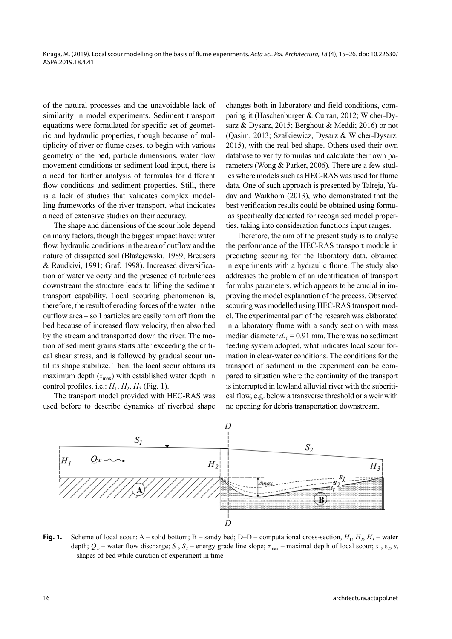of the natural processes and the unavoidable lack of similarity in model experiments. Sediment transport equations were formulated for specific set of geometric and hydraulic properties, though because of multiplicity of river or flume cases, to begin with various geometry of the bed, particle dimensions, water flow movement conditions or sediment load input, there is a need for further analysis of formulas for different flow conditions and sediment properties. Still, there is a lack of studies that validates complex modelling frameworks of the river transport, what indicates a need of extensive studies on their accuracy.

The shape and dimensions of the scour hole depend on many factors, though the biggest impact have: water flow, hydraulic conditions in the area of outflow and the nature of dissipated soil (Błażejewski, 1989; Breusers & Raudkivi, 1991; Graf, 1998). Increased diversification of water velocity and the presence of turbulences downstream the structure leads to lifting the sediment transport capability. Local scouring phenomenon is, therefore, the result of eroding forces of the water in the outflow area – soil particles are easily torn off from the bed because of increased flow velocity, then absorbed by the stream and transported down the river. The motion of sediment grains starts after exceeding the critical shear stress, and is followed by gradual scour until its shape stabilize. Then, the local scour obtains its maximum depth  $(z_{\text{max}})$  with established water depth in control profiles, i.e.:  $H_1, H_2, H_3$  (Fig. 1).

The transport model provided with HEC-RAS was used before to describe dynamics of riverbed shape changes both in laboratory and field conditions, comparing it (Haschenburger & Curran, 2012; Wicher-Dysarz & Dysarz, 2015; Berghout & Meddi; 2016) or not (Qasim, 2013; Szałkiewicz, Dysarz & Wicher-Dysarz, 2015), with the real bed shape. Others used their own database to verify formulas and calculate their own parameters (Wong & Parker, 2006). There are a few studies where models such as HEC-RAS was used for flume data. One of such approach is presented by Talreja, Yadav and Waikhom (2013), who demonstrated that the best verification results could be obtained using formulas specifically dedicated for recognised model properties, taking into consideration functions input ranges.

Therefore, the aim of the present study is to analyse the performance of the HEC-RAS transport module in predicting scouring for the laboratory data, obtained in experiments with a hydraulic flume. The study also addresses the problem of an identification of transport formulas parameters, which appears to be crucial in improving the model explanation of the process. Observed scouring was modelled using HEC-RAS transport model. The experimental part of the research was elaborated in a laboratory flume with a sandy section with mass median diameter  $d_{50} = 0.91$  mm. There was no sediment feeding system adopted, what indicates local scour formation in clear-water conditions. The conditions for the transport of sediment in the experiment can be compared to situation where the continuity of the transport is interrupted in lowland alluvial river with the subcritical flow, e.g. below a transverse threshold or a weir with no opening for debris transportation downstream.



**Fig. 1.** Scheme of local scour: A – solid bottom; B – sandy bed; D–D – computational cross-section,  $H_1$ ,  $H_2$ ,  $H_3$  – water depth;  $Q_w$  – water flow discharge;  $S_1$ ,  $S_2$  – energy grade line slope;  $z_{\text{max}}$  – maximal depth of local scour;  $s_1$ ,  $s_2$ ,  $s_t$ – shapes of bed while duration of experiment in time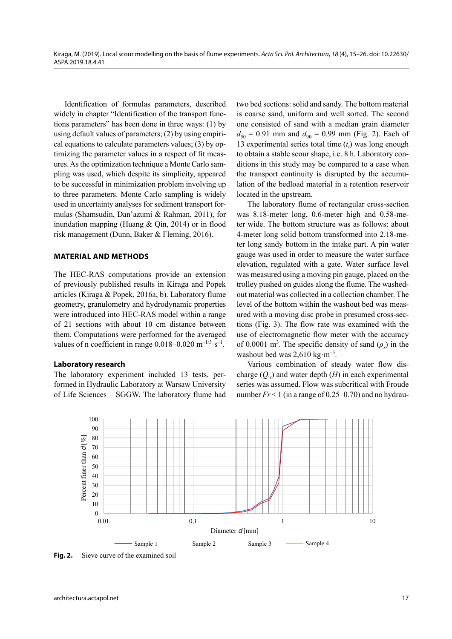Identification of formulas parameters, described widely in chapter "Identification of the transport functions parameters" has been done in three ways: (1) by using default values of parameters; (2) by using empirical equations to calculate parameters values; (3) by optimizing the parameter values in a respect of fit measures. As the optimization technique a Monte Carlo sampling was used, which despite its simplicity, appeared to be successful in minimization problem involving up to three parameters. Monte Carlo sampling is widely used in uncertainty analyses for sediment transport formulas (Shamsudin, Dan'azumi & Rahman, 2011), for inundation mapping (Huang & Qin, 2014) or in flood risk management (Dunn, Baker & Fleming, 2016).

## **MATERIAL AND METHODS**

The HEC-RAS computations provide an extension of previously published results in Kiraga and Popek articles (Kiraga & Popek, 2016a, b). Laboratory flume geometry, granulometry and hydrodynamic properties were introduced into HEC-RAS model within a range of 21 sections with about 10 cm distance between them. Computations were performed for the averaged values of n coefficient in range  $0.018-0.020$  m<sup>-1/3</sup>·s<sup>-1</sup>.

#### **Laboratory research**

The laboratory experiment included 13 tests, performed in Hydraulic Laboratory at Warsaw University of Life Sciences – SGGW. The laboratory flume had two bed sections: solid and sandy. The bottom material is coarse sand, uniform and well sorted. The second one consisted of sand with a median grain diameter  $d_{50} = 0.91$  mm and  $d_{90} = 0.99$  mm (Fig. 2). Each of 13 experimental series total time  $(t<sub>t</sub>)$  was long enough to obtain a stable scour shape, i.e. 8 h. Laboratory conditions in this study may be compared to a case when the transport continuity is disrupted by the accumulation of the bedload material in a retention reservoir located in the upstream.

The laboratory flume of rectangular cross-section was 8.18-meter long, 0.6-meter high and 0.58-meter wide. The bottom structure was as follows: about 4-meter long solid bottom transformed into 2.18-meter long sandy bottom in the intake part. A pin water gauge was used in order to measure the water surface elevation, regulated with a gate. Water surface level was measured using a moving pin gauge, placed on the trolley pushed on guides along the flume. The washedout material was collected in a collection chamber. The level of the bottom within the washout bed was measured with a moving disc probe in presumed cross-sections (Fig. 3). The flow rate was examined with the use of electromagnetic flow meter with the accuracy of 0.0001 m<sup>3</sup>. The specific density of sand  $(\rho_s)$  in the washout bed was  $2,610 \text{ kg} \cdot \text{m}^{-3}$ .

Various combination of steady water flow discharge  $(O_w)$  and water depth  $(H)$  in each experimental series was assumed. Flow was subcritical with Froude number  $Fr < 1$  (in a range of  $0.25-0.70$ ) and no hydrau-



**Fig. 2.** Sieve curve of the examined soil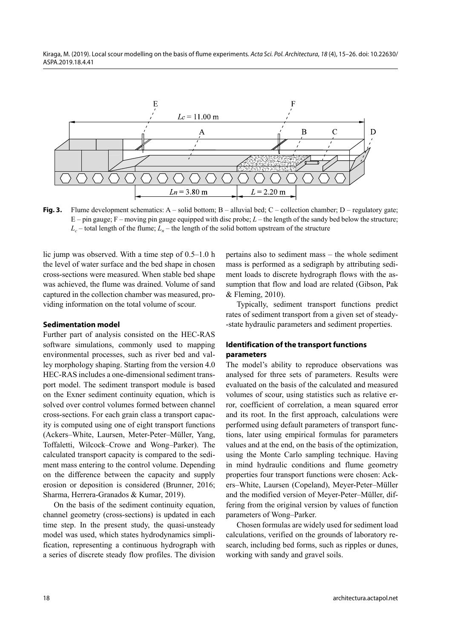Kiraga, M. (2019). Local scour modelling on the basis of flume experiments. Acta Sci. Pol. Architectura, 18 (4), 15-26. doi: 10.22630/ ASPA.2019.18.4.41



**Fig. 3.** Flume development schematics: A – solid bottom; B – alluvial bed; C – collection chamber; D – regulatory gate; E – pin gauge; F – moving pin gauge equipped with disc probe; *L* – the length of the sandy bed below the structure;  $L_c$  – total length of the flume;  $L_n$  – the length of the solid bottom upstream of the structure

lic jump was observed. With a time step of 0.5–1.0 h the level of water surface and the bed shape in chosen cross-sections were measured. When stable bed shape was achieved, the flume was drained. Volume of sand captured in the collection chamber was measured, providing information on the total volume of scour.

## **Sedimentation model**

Further part of analysis consisted on the HEC-RAS software simulations, commonly used to mapping environmental processes, such as river bed and valley morphology shaping. Starting from the version 4.0 HEC-RAS includes a one-dimensional sediment transport model. The sediment transport module is based on the Exner sediment continuity equation, which is solved over control volumes formed between channel cross-sections. For each grain class a transport capacity is computed using one of eight transport functions (Ackers–White, Laursen, Meter-Peter–Müller, Yang, Toffaletti, Wilcock–Crowe and Wong–Parker). The calculated transport capacity is compared to the sediment mass entering to the control volume. Depending on the difference between the capacity and supply erosion or deposition is considered (Brunner, 2016; Sharma, Herrera-Granados & Kumar, 2019).

On the basis of the sediment continuity equation, channel geometry (cross-sections) is updated in each time step. In the present study, the quasi-unsteady model was used, which states hydrodynamics simplification, representing a continuous hydrograph with a series of discrete steady flow profiles. The division pertains also to sediment mass – the whole sediment mass is performed as a sedigraph by attributing sediment loads to discrete hydrograph flows with the assumption that flow and load are related (Gibson, Pak & Fleming, 2010).

Typically, sediment transport functions predict rates of sediment transport from a given set of steady- -state hydraulic parameters and sediment properties.

# **Identification of the transport functions parameters**

The model's ability to reproduce observations was analysed for three sets of parameters. Results were evaluated on the basis of the calculated and measured volumes of scour, using statistics such as relative error, coefficient of correlation, a mean squared error and its root. In the first approach, calculations were performed using default parameters of transport functions, later using empirical formulas for parameters values and at the end, on the basis of the optimization, using the Monte Carlo sampling technique. Having in mind hydraulic conditions and flume geometry properties four transport functions were chosen: Ackers–White, Laursen (Copeland), Meyer-Peter–Müller and the modified version of Meyer-Peter–Müller, differing from the original version by values of function parameters of Wong–Parker.

Chosen formulas are widely used for sediment load calculations, verified on the grounds of laboratory research, including bed forms, such as ripples or dunes, working with sandy and gravel soils.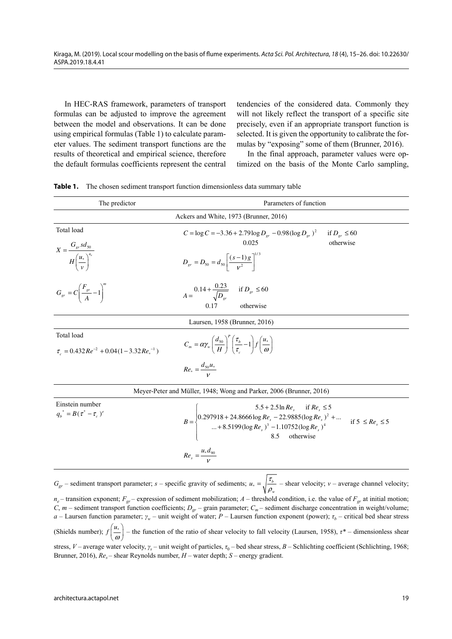Kiraga, M. (2019). Local scour modelling on the basis of flume experiments. Acta Sci. Pol. Architectura, 18 (4), 15-26. doi: 10.22630/ ASPA.2019.18.4.41

In HEC-RAS framework, parameters of transport formulas can be adjusted to improve the agreement between the model and observations. It can be done using empirical formulas (Table 1) to calculate parameter values. The sediment transport functions are the results of theoretical and empirical science, therefore the default formulas coefficients represent the central tendencies of the considered data. Commonly they will not likely reflect the transport of a specific site precisely, even if an appropriate transport function is selected. It is given the opportunity to calibrate the formulas by "exposing" some of them (Brunner, 2016).

In the final approach, parameter values were optimized on the basis of the Monte Carlo sampling,

| Table 1. |  |  |  |  | The chosen sediment transport function dimensionless data summary table |  |  |  |
|----------|--|--|--|--|-------------------------------------------------------------------------|--|--|--|
|----------|--|--|--|--|-------------------------------------------------------------------------|--|--|--|

| The predictor                                                    | Parameters of function                                                                                                                                                                                                                     |  |  |  |  |  |  |  |
|------------------------------------------------------------------|--------------------------------------------------------------------------------------------------------------------------------------------------------------------------------------------------------------------------------------------|--|--|--|--|--|--|--|
|                                                                  | Ackers and White, 1973 (Brunner, 2016)                                                                                                                                                                                                     |  |  |  |  |  |  |  |
| Total load                                                       | $C = \log C = -3.36 + 2.79 \log D_{gr} - 0.98 (\log D_{gr})^2$<br>if $D_{gr} \leq 60$                                                                                                                                                      |  |  |  |  |  |  |  |
| $X = \frac{G_{gr} sd_{50}}{H\left(\frac{u_*}{v}\right)^{n_e}}$   | 0.025<br>otherwise<br>$D_{gr} = D_{50} = d_{50} \left[ \frac{(s-1) g}{v^2} \right]^{1/3}$                                                                                                                                                  |  |  |  |  |  |  |  |
| $G_{gr} = C \left(\frac{F_{gr}}{A} - 1\right)^{m}$               | $A = \frac{0.14 + \frac{0.23}{\sqrt{D_{gr}}}$ if $D_{gr} \le 60$<br>otherwise<br>0.17                                                                                                                                                      |  |  |  |  |  |  |  |
|                                                                  | Laursen, 1958 (Brunner, 2016)                                                                                                                                                                                                              |  |  |  |  |  |  |  |
| Total load<br>$\tau_c = 0.432 Re^{-2} + 0.04(1 - 3.32Re_*^{-1})$ | $C_m = \alpha \gamma_w \left(\frac{d_{50}}{H}\right)^2 \left(\frac{\tau_b}{\tau} - 1\right) f\left(\frac{u_*}{\omega}\right)$                                                                                                              |  |  |  |  |  |  |  |
|                                                                  | $Re_* = \frac{d_{50}u_*}{v}$                                                                                                                                                                                                               |  |  |  |  |  |  |  |
|                                                                  | Meyer-Peter and Müller, 1948; Wong and Parker, 2006 (Brunner, 2016)                                                                                                                                                                        |  |  |  |  |  |  |  |
| Einstein number<br>$q_h^* = B(\tau^* - \tau_c)^e$                | $B = \begin{cases} 5.5 + 2.5 \ln Re_s & \text{if } Re_s \le 5\\ 0.297918 + 24.8666 \log Re_s - 22.9885 (\log Re_s)^2 + \\  + 8.5199 (\log Re_s)^3 - 1.10752 (\log Re_s)^4\\ 8.5 & \text{otherwise} \end{cases}$<br>if $5 \leq Re_s \leq 5$ |  |  |  |  |  |  |  |

$$
Re_s = \frac{u_* d_{90}}{V}
$$

 $G_{gr}$  – sediment transport parameter; *s* – specific gravity of sediments;  $u_* = \sqrt{\frac{\tau_b}{\rho_w}}$  $u_* = \sqrt{b^2 - 2}$  – shear velocity; *v* – average channel velocity;

 $n_e$  – transition exponent;  $F_{gr}$  – expression of sediment mobilization;  $A$  – threshold condition, i.e. the value of  $F_{gr}$  at initial motion; *C*, *m* – sediment transport function coefficients;  $D_{gr}$  – grain parameter;  $C_m$  – sediment discharge concentration in weight/volume; *a* – Laursen function parameter; *γw* – unit weight of water; *P* – Laursen function exponent (power); *τb* – critical bed shear stress (Shields number); ω  $\left(\frac{u_*}{\omega}\right)$ *<sup>u</sup> <sup>f</sup>* – the function of the ratio of shear velocity to fall velocity (Laursen, 1958), *τ\** – dimensionless shear stress, *V* – average water velocity, *γ*<sub>*i*</sub> – unit weight of particles, *τ*<sub>0</sub> – bed shear stress, *B* – Schlichting coefficient (Schlichting, 1968; Brunner, 2016),  $Re<sub>s</sub>$  – shear Reynolds number,  $H$  – water depth;  $S$  – energy gradient.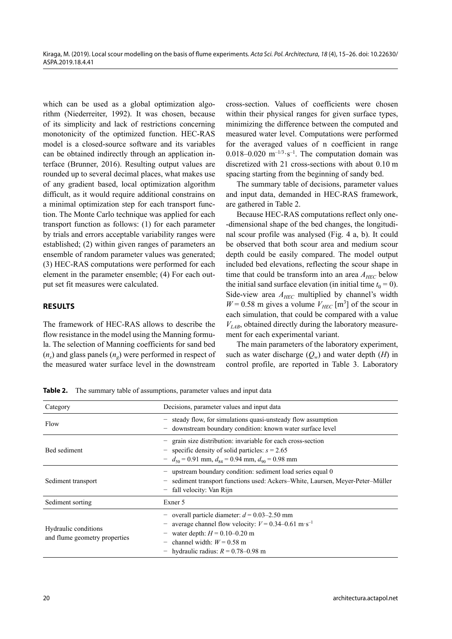which can be used as a global optimization algorithm (Niederreiter, 1992). It was chosen, because of its simplicity and lack of restrictions concerning monotonicity of the optimized function. HEC-RAS model is a closed-source software and its variables can be obtained indirectly through an application interface (Brunner, 2016). Resulting output values are rounded up to several decimal places, what makes use of any gradient based, local optimization algorithm difficult, as it would require additional constrains on a minimal optimization step for each transport function. The Monte Carlo technique was applied for each transport function as follows: (1) for each parameter by trials and errors acceptable variability ranges were established; (2) within given ranges of parameters an ensemble of random parameter values was generated; (3) HEC-RAS computations were performed for each element in the parameter ensemble; (4) For each output set fit measures were calculated.

## **RESULTS**

The framework of HEC-RAS allows to describe the flow resistance in the model using the Manning formula. The selection of Manning coefficients for sand bed  $(n<sub>s</sub>)$  and glass panels  $(n<sub>s</sub>)$  were performed in respect of the measured water surface level in the downstream

cross-section. Values of coefficients were chosen within their physical ranges for given surface types, minimizing the difference between the computed and measured water level. Computations were performed for the averaged values of n coefficient in range 0.018–0.020  $m^{-1/3} \cdot s^{-1}$ . The computation domain was discretized with 21 cross-sections with about 0.10 m spacing starting from the beginning of sandy bed.

The summary table of decisions, parameter values and input data, demanded in HEC-RAS framework, are gathered in Table 2.

Because HEC-RAS computations reflect only one- -dimensional shape of the bed changes, the longitudinal scour profile was analysed (Fig. 4 a, b). It could be observed that both scour area and medium scour depth could be easily compared. The model output included bed elevations, reflecting the scour shape in time that could be transform into an area  $A_{HEC}$  below the initial sand surface elevation (in initial time  $t_0 = 0$ ). Side-view area  $A_{HEC}$  multiplied by channel's width  $W = 0.58$  m gives a volume  $V_{HEC}$  [m<sup>3</sup>] of the scour in each simulation, that could be compared with a value  $V_{LAB}$ , obtained directly during the laboratory measurement for each experimental variant.

The main parameters of the laboratory experiment, such as water discharge  $(O_w)$  and water depth  $(H)$  in control profile, are reported in Table 3. Laboratory

**Table 2.** The summary table of assumptions, parameter values and input data

| Category                                              | Decisions, parameter values and input data                                                                                                                                                                                                                                             |  |  |  |  |  |
|-------------------------------------------------------|----------------------------------------------------------------------------------------------------------------------------------------------------------------------------------------------------------------------------------------------------------------------------------------|--|--|--|--|--|
| Flow                                                  | steady flow, for simulations quasi-unsteady flow assumption<br>-<br>downstream boundary condition: known water surface level<br>$\overline{\phantom{0}}$                                                                                                                               |  |  |  |  |  |
| Bed sediment                                          | - grain size distribution: invariable for each cross-section<br>specific density of solid particles: $s = 2.65$<br>$\overline{\phantom{m}}$<br>$- d_{50} = 0.91$ mm, $d_{84} = 0.94$ mm, $d_{90} = 0.98$ mm                                                                            |  |  |  |  |  |
| Sediment transport                                    | - upstream boundary condition: sediment load series equal 0<br>sediment transport functions used: Ackers–White, Laursen, Meyer-Peter–Müller<br>-<br>fall velocity: Van Rijn<br>$\qquad \qquad -$                                                                                       |  |  |  |  |  |
| Sediment sorting                                      | Exner 5                                                                                                                                                                                                                                                                                |  |  |  |  |  |
| Hydraulic conditions<br>and flume geometry properties | - overall particle diameter: $d = 0.03-2.50$ mm<br>average channel flow velocity: $V = 0.34 - 0.61$ m·s <sup>-1</sup><br>-<br>water depth: $H = 0.10 - 0.20$ m<br>channel width: $W = 0.58$ m<br>$\qquad \qquad -$<br>hydraulic radius: $R = 0.78{\text -}0.98$ m<br>$\qquad \qquad -$ |  |  |  |  |  |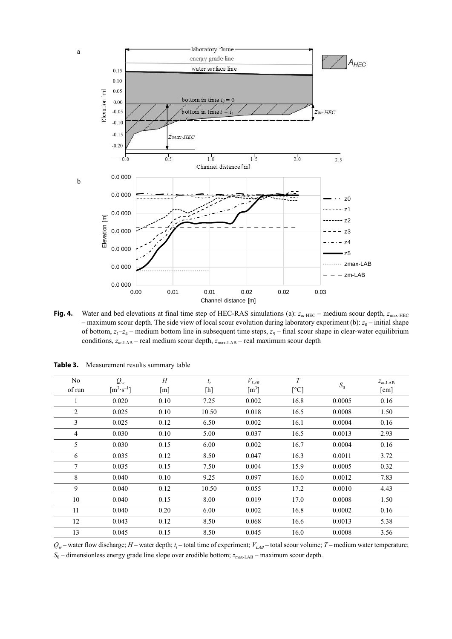

**Fig. 4.** Water and bed elevations at final time step of HEC-RAS simulations (a):  $z_{m\text{-HEC}}$  – medium scour depth,  $z_{\text{max-HEC}}$ – maximum scour depth. The side view of local scour evolution during laboratory experiment (b):  $z_0$  – initial shape of bottom,  $z_1-z_4$  – medium bottom line in subsequent time steps,  $z_5$  – final scour shape in clear-water equilibrium conditions,  $z_{m\text{-LAB}}$  – real medium scour depth,  $z_{\text{max-LAB}}$  – real maximum scour depth

| N <sub>0</sub><br>of run | $Q_w$<br>$\lceil m^3 \cdot s^{-1} \rceil$ | H<br>$\lceil m \rceil$ | $t_t$<br>$[h] \centering \vspace{0.00\textwidth} \includegraphics[width=\textwidth]{figs/fig_100000.pdf} \includegraphics[width=\textwidth]{figs/fig_200000.pdf} \includegraphics[width=\textwidth]{figs/fig_200000.pdf} \includegraphics[width=\textwidth]{figs/fig_200000.pdf} \includegraphics[width=\textwidth]{figs/fig_200000.pdf} \includegraphics[width=\textwidth]{figs/fig_200000.pdf} \includegraphics[width=\textwidth]{figs/fig_200000.pdf} \includegraphics[width=\textwidth]{figs/fig_200000.pdf} \includegraphics[width=\textwidth]{figs/fig_200000.pdf} \includegraphics[width$ | $V_{\mathit{LAB}}$<br>$\lceil m^3 \rceil$ | T<br>$\lceil$ °C] | $S_0$  | $z_{m-LAB}$<br>[cm] |
|--------------------------|-------------------------------------------|------------------------|--------------------------------------------------------------------------------------------------------------------------------------------------------------------------------------------------------------------------------------------------------------------------------------------------------------------------------------------------------------------------------------------------------------------------------------------------------------------------------------------------------------------------------------------------------------------------------------------------|-------------------------------------------|-------------------|--------|---------------------|
|                          | 0.020                                     | 0.10                   | 7.25                                                                                                                                                                                                                                                                                                                                                                                                                                                                                                                                                                                             | 0.002                                     | 16.8              | 0.0005 | 0.16                |
| 2                        | 0.025                                     | 0.10                   | 10.50                                                                                                                                                                                                                                                                                                                                                                                                                                                                                                                                                                                            | 0.018                                     | 16.5              | 0.0008 | 1.50                |
| 3                        | 0.025                                     | 0.12                   | 6.50                                                                                                                                                                                                                                                                                                                                                                                                                                                                                                                                                                                             | 0.002                                     | 16.1              | 0.0004 | 0.16                |
| $\overline{4}$           | 0.030                                     | 0.10                   | 5.00                                                                                                                                                                                                                                                                                                                                                                                                                                                                                                                                                                                             | 0.037                                     | 16.5              | 0.0013 | 2.93                |
| 5                        | 0.030                                     | 0.15                   | 6.00                                                                                                                                                                                                                                                                                                                                                                                                                                                                                                                                                                                             | 0.002                                     | 16.7              | 0.0004 | 0.16                |
| 6                        | 0.035                                     | 0.12                   | 8.50                                                                                                                                                                                                                                                                                                                                                                                                                                                                                                                                                                                             | 0.047                                     | 16.3              | 0.0011 | 3.72                |
| $\tau$                   | 0.035                                     | 0.15                   | 7.50                                                                                                                                                                                                                                                                                                                                                                                                                                                                                                                                                                                             | 0.004                                     | 15.9              | 0.0005 | 0.32                |
| 8                        | 0.040                                     | 0.10                   | 9.25                                                                                                                                                                                                                                                                                                                                                                                                                                                                                                                                                                                             | 0.097                                     | 16.0              | 0.0012 | 7.83                |
| 9                        | 0.040                                     | 0.12                   | 10.50                                                                                                                                                                                                                                                                                                                                                                                                                                                                                                                                                                                            | 0.055                                     | 17.2              | 0.0010 | 4.43                |
| 10                       | 0.040                                     | 0.15                   | 8.00                                                                                                                                                                                                                                                                                                                                                                                                                                                                                                                                                                                             | 0.019                                     | 17.0              | 0.0008 | 1.50                |
| 11                       | 0.040                                     | 0.20                   | 6.00                                                                                                                                                                                                                                                                                                                                                                                                                                                                                                                                                                                             | 0.002                                     | 16.8              | 0.0002 | 0.16                |
| 12                       | 0.043                                     | 0.12                   | 8.50                                                                                                                                                                                                                                                                                                                                                                                                                                                                                                                                                                                             | 0.068                                     | 16.6              | 0.0013 | 5.38                |
| 13                       | 0.045                                     | 0.15                   | 8.50                                                                                                                                                                                                                                                                                                                                                                                                                                                                                                                                                                                             | 0.045                                     | 16.0              | 0.0008 | 3.56                |

Table 3. Measurement results summary table

 $Q_w$  – water flow discharge; *H* – water depth;  $t_t$  – total time of experiment;  $V_{LAB}$  – total scour volume; *T* – medium water temperature; *S*<sub>0</sub> – dimensionless energy grade line slope over erodible bottom;  $z_{\text{max-LAB}}$  – maximum scour depth.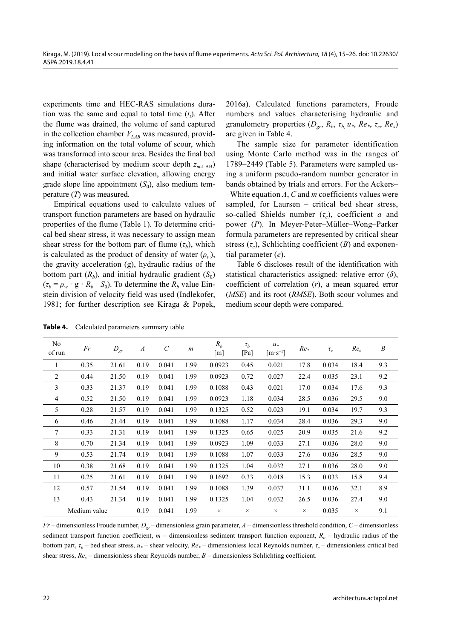experiments time and HEC-RAS simulations duration was the same and equal to total time  $(t_t)$ . After the flume was drained, the volume of sand captured in the collection chamber  $V_{LAB}$  was measured, providing information on the total volume of scour, which was transformed into scour area. Besides the final bed shape (characterised by medium scour depth  $z_{m-LAB}$ ) and initial water surface elevation, allowing energy grade slope line appointment  $(S_0)$ , also medium temperature (*T*) was measured.

Empirical equations used to calculate values of transport function parameters are based on hydraulic properties of the flume (Table 1). To determine critical bed shear stress, it was necessary to assign mean shear stress for the bottom part of flume  $(\tau_b)$ , which is calculated as the product of density of water  $(\rho_w)$ , the gravity acceleration (g), hydraulic radius of the bottom part  $(R_h)$ , and initial hydraulic gradient  $(S_0)$  $(\tau_b = \rho_w \cdot g \cdot R_b \cdot S_0)$ . To determine the  $R_b$  value Einstein division of velocity field was used (Indlekofer, 1981; for further description see Kiraga & Popek,

2016a). Calculated functions parameters, Froude numbers and values characterising hydraulic and granulometry properties  $(D_{gr}, R_b, \tau_b, u_*, Re_*, \tau_c, Re_s)$ are given in Table 4.

The sample size for parameter identification using Monte Carlo method was in the ranges of 1789–2449 (Table 5). Parameters were sampled using a uniform pseudo-random number generator in bands obtained by trials and errors. For the Ackers– –White equation *A*, *C* and *m* coefficients values were sampled, for Laursen – critical bed shear stress, so-called Shields number (*τc*), coefficient *a* and power (*P*). In Meyer-Peter–Müller–Wong–Parker formula parameters are represented by critical shear stress  $(\tau_c)$ , Schlichting coefficient  $(B)$  and exponential parameter (*e*).

Table 6 discloses result of the identification with statistical characteristics assigned: relative error (*δ*), coefficient of correlation (*r*), a mean squared error (*MSE*) and its root (*RMSE*). Both scour volumes and medium scour depth were compared.

| No<br>of run   | Fr           | $D_{gr}$ | $\boldsymbol{A}$ | $\mathcal{C}_{0}^{0}$ | $\boldsymbol{m}$ | $R_h$<br>[m] | $\tau_h$<br>[Pa] | $u*$<br>$\lceil m \cdot s^{-1} \rceil$ | $Re_*$   | $\tau_c$ | Re <sub>s</sub> | $\boldsymbol{B}$ |
|----------------|--------------|----------|------------------|-----------------------|------------------|--------------|------------------|----------------------------------------|----------|----------|-----------------|------------------|
| 1              | 0.35         | 21.61    | 0.19             | 0.041                 | 1.99             | 0.0923       | 0.45             | 0.021                                  | 17.8     | 0.034    | 18.4            | 9.3              |
| 2              | 0.44         | 21.50    | 0.19             | 0.041                 | 1.99             | 0.0923       | 0.72             | 0.027                                  | 22.4     | 0.035    | 23.1            | 9.2              |
| 3              | 0.33         | 21.37    | 0.19             | 0.041                 | 1.99             | 0.1088       | 0.43             | 0.021                                  | 17.0     | 0.034    | 17.6            | 9.3              |
| $\overline{4}$ | 0.52         | 21.50    | 0.19             | 0.041                 | 1.99             | 0.0923       | 1.18             | 0.034                                  | 28.5     | 0.036    | 29.5            | 9.0              |
| 5              | 0.28         | 21.57    | 0.19             | 0.041                 | 1.99             | 0.1325       | 0.52             | 0.023                                  | 19.1     | 0.034    | 19.7            | 9.3              |
| 6              | 0.46         | 21.44    | 0.19             | 0.041                 | 1.99             | 0.1088       | 1.17             | 0.034                                  | 28.4     | 0.036    | 29.3            | 9.0              |
| $\tau$         | 0.33         | 21.31    | 0.19             | 0.041                 | 1.99             | 0.1325       | 0.65             | 0.025                                  | 20.9     | 0.035    | 21.6            | 9.2              |
| 8              | 0.70         | 21.34    | 0.19             | 0.041                 | 1.99             | 0.0923       | 1.09             | 0.033                                  | 27.1     | 0.036    | 28.0            | 9.0              |
| 9              | 0.53         | 21.74    | 0.19             | 0.041                 | 1.99             | 0.1088       | 1.07             | 0.033                                  | 27.6     | 0.036    | 28.5            | 9.0              |
| 10             | 0.38         | 21.68    | 0.19             | 0.041                 | 1.99             | 0.1325       | 1.04             | 0.032                                  | 27.1     | 0.036    | 28.0            | 9.0              |
| 11             | 0.25         | 21.61    | 0.19             | 0.041                 | 1.99             | 0.1692       | 0.33             | 0.018                                  | 15.3     | 0.033    | 15.8            | 9.4              |
| 12             | 0.57         | 21.54    | 0.19             | 0.041                 | 1.99             | 0.1088       | 1.39             | 0.037                                  | 31.1     | 0.036    | 32.1            | 8.9              |
| 13             | 0.43         | 21.34    | 0.19             | 0.041                 | 1.99             | 0.1325       | 1.04             | 0.032                                  | 26.5     | 0.036    | 27.4            | 9.0              |
|                | Medium value |          | 0.19             | 0.041                 | 1.99             | $\times$     | $\times$         | $\times$                               | $\times$ | 0.035    | $\times$        | 9.1              |

**Table 4.** Calculated parameters summary table

*Fr* – dimensionless Froude number, *Dgr* – dimensionless grain parameter, *A* – dimensionless threshold condition, *C* – dimensionless sediment transport function coefficient,  $m -$  dimensionless sediment transport function exponent,  $R_b -$  hydraulic radius of the bottom part, *τb* – bed shear stress, *u\** – shear velocity, *Re\** – dimensionless local Reynolds number, *τc* – dimensionless critical bed shear stress,  $Re<sub>s</sub>$  – dimensionless shear Reynolds number, *B* – dimensionless Schlichting coefficient.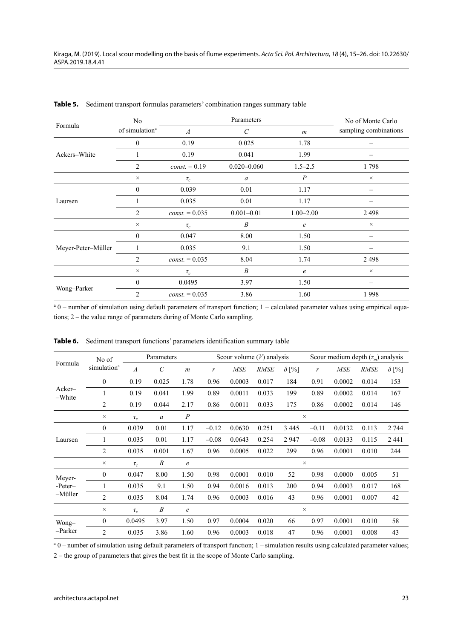|                    | No                         |                  | No of Monte Carlo     |                  |                       |
|--------------------|----------------------------|------------------|-----------------------|------------------|-----------------------|
| Formula            | of simulation <sup>a</sup> | $\boldsymbol{A}$ | $\mathcal{C}_{0}^{0}$ | $\boldsymbol{m}$ | sampling combinations |
|                    | $\mathbf{0}$               | 0.19             | 0.025                 | 1.78             |                       |
| Ackers-White       |                            | 0.19             | 0.041                 | 1.99             |                       |
|                    | 2                          | $const. = 0.19$  | $0.020 - 0.060$       |                  | 1798                  |
|                    | $\times$                   | $\tau_c$         | $\boldsymbol{a}$      | $\boldsymbol{P}$ | $\times$              |
|                    | $\mathbf{0}$               | 0.039            | 0.01                  | 1.17             |                       |
| Laursen            |                            | 0.035            | 0.01                  | 1.17             |                       |
|                    | 2                          | $const. = 0.035$ | $0.001 - 0.01$        | $1.00 - 2.00$    | 2498                  |
|                    | $\times$                   | $\tau_c$         | B                     | $\epsilon$       | $\times$              |
|                    | $\mathbf{0}$               | 0.047            | 8.00                  | 1.50             |                       |
| Meyer-Peter-Müller |                            | 0.035            | 9.1                   | 1.50             |                       |
|                    | $\overline{c}$             | $const. = 0.035$ | 8.04                  | 1.74             | 2498                  |
|                    | $\times$                   | $\tau_c$         | $\boldsymbol{B}$      | $\epsilon$       | $\times$              |
|                    | $\theta$                   | 0.0495           | 3.97                  | 1.50             |                       |
| Wong-Parker        | $\overline{2}$             | $const. = 0.035$ | 3.86                  | 1.60             | 1998                  |

**Table 5.** Sediment transport formulas parameters' combination ranges summary table

<sup>a</sup> 0 – number of simulation using default parameters of transport function; 1 – calculated parameter values using empirical equations; 2 – the value range of parameters during of Monte Carlo sampling.

|                  | No of                   |                  | Parameters              |                  |         | Scour volume $(V)$ analysis |             |              |          | Scour medium depth $(z_m)$ analysis |             |              |  |
|------------------|-------------------------|------------------|-------------------------|------------------|---------|-----------------------------|-------------|--------------|----------|-------------------------------------|-------------|--------------|--|
| Formula          | simulation <sup>a</sup> | $\boldsymbol{A}$ | $\mathcal{C}_{0}^{(n)}$ | $\boldsymbol{m}$ | r       | <b>MSE</b>                  | <b>RMSE</b> | $\delta$ [%] | r        | <b>MSE</b>                          | <b>RMSE</b> | $\delta$ [%] |  |
| Acker-<br>-White | $\mathbf{0}$            | 0.19             | 0.025                   | 1.78             | 0.96    | 0.0003                      | 0.017       | 184          | 0.91     | 0.0002                              | 0.014       | 153          |  |
|                  | 1                       | 0.19             | 0.041                   | 1.99             | 0.89    | 0.0011                      | 0.033       | 199          | 0.89     | 0.0002                              | 0.014       | 167          |  |
|                  | $\overline{2}$          | 0.19             | 0.044                   | 2.17             | 0.86    | 0.0011                      | 0.033       | 175          | 0.86     | 0.0002                              | 0.014       | 146          |  |
|                  | $\times$                | $\tau_c$         | $\boldsymbol{a}$        | $\boldsymbol{P}$ |         |                             |             |              | $\times$ |                                     |             |              |  |
| Laursen          | $\boldsymbol{0}$        | 0.039            | 0.01                    | 1.17             | $-0.12$ | 0.0630                      | 0.251       | 3 4 4 5      | $-0.11$  | 0.0132                              | 0.113       | 2 744        |  |
|                  |                         | 0.035            | 0.01                    | 1.17             | $-0.08$ | 0.0643                      | 0.254       | 2947         | $-0.08$  | 0.0133                              | 0.115       | 2 4 4 1      |  |
|                  | 2                       | 0.035            | 0.001                   | 1.67             | 0.96    | 0.0005                      | 0.022       | 299          | 0.96     | 0.0001                              | 0.010       | 244          |  |
|                  | $\times$                | $\tau_c$         | $\boldsymbol{B}$        | $\boldsymbol{e}$ |         |                             |             |              | $\times$ |                                     |             |              |  |
| Meyer-           | $\boldsymbol{0}$        | 0.047            | 8.00                    | 1.50             | 0.98    | 0.0001                      | 0.010       | 52           | 0.98     | 0.0000                              | 0.005       | 51           |  |
| -Peter-          |                         | 0.035            | 9.1                     | 1.50             | 0.94    | 0.0016                      | 0.013       | 200          | 0.94     | 0.0003                              | 0.017       | 168          |  |
| -Müller          | $\overline{2}$          | 0.035            | 8.04                    | 1.74             | 0.96    | 0.0003                      | 0.016       | 43           | 0.96     | 0.0001                              | 0.007       | 42           |  |
|                  | $\times$                | $\tau_c$         | $\boldsymbol{B}$        | e                |         |                             |             |              | $\times$ |                                     |             |              |  |
| Wong-            | $\theta$                | 0.0495           | 3.97                    | 1.50             | 0.97    | 0.0004                      | 0.020       | 66           | 0.97     | 0.0001                              | 0.010       | 58           |  |
| -Parker          | $\overline{c}$          | 0.035            | 3.86                    | 1.60             | 0.96    | 0.0003                      | 0.018       | 47           | 0.96     | 0.0001                              | 0.008       | 43           |  |

**Table 6.** Sediment transport functions' parameters identification summary table

<sup>a</sup> 0 – number of simulation using default parameters of transport function; 1 – simulation results using calculated parameter values;

2 – the group of parameters that gives the best fit in the scope of Monte Carlo sampling.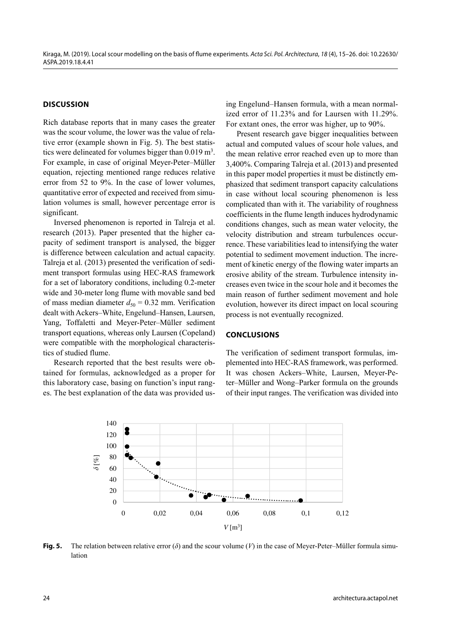## **DISCUSSION**

Rich database reports that in many cases the greater was the scour volume, the lower was the value of relative error (example shown in Fig. 5). The best statistics were delineated for volumes bigger than  $0.019 \text{ m}^3$ . For example, in case of original Meyer-Peter–Müller equation, rejecting mentioned range reduces relative error from 52 to 9%. In the case of lower volumes, quantitative error of expected and received from simulation volumes is small, however percentage error is significant.

Inversed phenomenon is reported in Talreja et al. research (2013). Paper presented that the higher capacity of sediment transport is analysed, the bigger is difference between calculation and actual capacity. Talreja et al. (2013) presented the verification of sediment transport formulas using HEC-RAS framework for a set of laboratory conditions, including 0.2-meter wide and 30-meter long flume with movable sand bed of mass median diameter  $d_{50} = 0.32$  mm. Verification dealt with Ackers–White, Engelund–Hansen, Laursen, Yang, Toffaletti and Meyer-Peter–Müller sediment transport equations, whereas only Laursen (Copeland) were compatible with the morphological characteristics of studied flume.

Research reported that the best results were obtained for formulas, acknowledged as a proper for this laboratory case, basing on function's input ranges. The best explanation of the data was provided using Engelund–Hansen formula, with a mean normalized error of 11.23% and for Laursen with 11.29%. For extant ones, the error was higher, up to 90%.

Present research gave bigger inequalities between actual and computed values of scour hole values, and the mean relative error reached even up to more than 3,400%. Comparing Talreja et al. (2013) and presented in this paper model properties it must be distinctly emphasized that sediment transport capacity calculations in case without local scouring phenomenon is less complicated than with it. The variability of roughness coefficients in the flume length induces hydrodynamic conditions changes, such as mean water velocity, the velocity distribution and stream turbulences occurrence. These variabilities lead to intensifying the water potential to sediment movement induction. The increment of kinetic energy of the flowing water imparts an erosive ability of the stream. Turbulence intensity increases even twice in the scour hole and it becomes the main reason of further sediment movement and hole evolution, however its direct impact on local scouring process is not eventually recognized.

### **CONCLUSIONS**

The verification of sediment transport formulas, implemented into HEC-RAS framework, was performed. It was chosen Ackers–White, Laursen, Meyer-Peter–Müller and Wong–Parker formula on the grounds of their input ranges. The verification was divided into



**Fig. 5.** The relation between relative error (*δ*) and the scour volume (*V*) in the case of Meyer-Peter–Müller formula simulation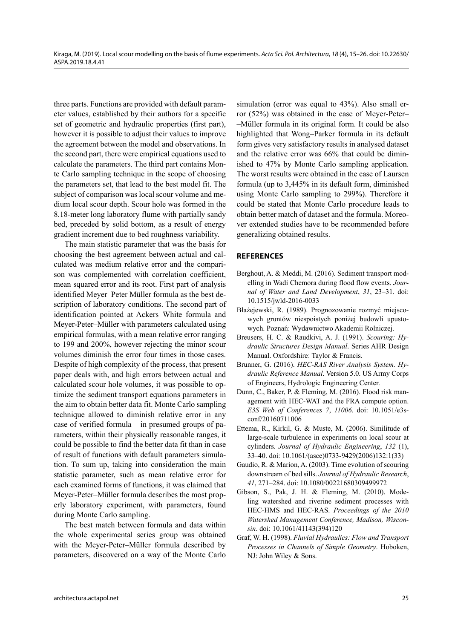three parts. Functions are provided with default parameter values, established by their authors for a specific set of geometric and hydraulic properties (first part), however it is possible to adjust their values to improve the agreement between the model and observations. In the second part, there were empirical equations used to calculate the parameters. The third part contains Monte Carlo sampling technique in the scope of choosing the parameters set, that lead to the best model fit. The subject of comparison was local scour volume and medium local scour depth. Scour hole was formed in the 8.18-meter long laboratory flume with partially sandy bed, preceded by solid bottom, as a result of energy gradient increment due to bed roughness variability.

The main statistic parameter that was the basis for choosing the best agreement between actual and calculated was medium relative error and the comparison was complemented with correlation coefficient, mean squared error and its root. First part of analysis identified Meyer–Peter Müller formula as the best description of laboratory conditions. The second part of identification pointed at Ackers–White formula and Meyer-Peter–Müller with parameters calculated using empirical formulas, with a mean relative error ranging to 199 and 200%, however rejecting the minor scour volumes diminish the error four times in those cases. Despite of high complexity of the process, that present paper deals with, and high errors between actual and calculated scour hole volumes, it was possible to optimize the sediment transport equations parameters in the aim to obtain better data fit. Monte Carlo sampling technique allowed to diminish relative error in any case of verified formula – in presumed groups of parameters, within their physically reasonable ranges, it could be possible to find the better data fit than in case of result of functions with default parameters simulation. To sum up, taking into consideration the main statistic parameter, such as mean relative error for each examined forms of functions, it was claimed that Meyer-Peter–Müller formula describes the most properly laboratory experiment, with parameters, found during Monte Carlo sampling.

The best match between formula and data within the whole experimental series group was obtained with the Meyer-Peter–Müller formula described by parameters, discovered on a way of the Monte Carlo simulation (error was equal to 43%). Also small error (52%) was obtained in the case of Meyer-Peter– –Müller formula in its original form. It could be also highlighted that Wong–Parker formula in its default form gives very satisfactory results in analysed dataset and the relative error was 66% that could be diminished to 47% by Monte Carlo sampling application. The worst results were obtained in the case of Laursen formula (up to 3,445% in its default form, diminished using Monte Carlo sampling to 299%). Therefore it could be stated that Monte Carlo procedure leads to obtain better match of dataset and the formula. Moreover extended studies have to be recommended before generalizing obtained results.

## **REFERENCES**

- Berghout, A. & Meddi, M. (2016). Sediment transport modelling in Wadi Chemora during flood flow events. *Journal of Water and Land Development*, *31*, 23–31. doi: 10.1515/jwld-2016-0033
- Błażejewski, R. (1989). Prognozowanie rozmyć miejscowych gruntów niespoistych poniżej budowli upustowych. Poznań: Wydawnictwo Akademii Rolniczej.
- Breusers, H. C. & Raudkivi, A. J. (1991). *Scouring: Hydraulic Structures Design Manual*. Series AHR Design Manual. Oxfordshire: Taylor & Francis.
- Brunner, G. (2016). *HEC-RAS River Analysis System. Hydraulic Reference Manual*. Version 5.0. US Army Corps of Engineers, Hydrologic Engineering Center.
- Dunn, C., Baker, P. & Fleming, M. (2016). Flood risk management with HEC-WAT and the FRA compute option. *E3S Web of Conferences 7*, *11006*. doi: 10.1051/e3sconf/20160711006
- Ettema, R., Kirkil, G. & Muste, M. (2006). Similitude of large-scale turbulence in experiments on local scour at cylinders. *Journal of Hydraulic Engineering*, *132* (1), 33–40. doi: 10.1061/(asce)0733-9429(2006)132:1(33)
- Gaudio, R. & Marion, A. (2003). Time evolution of scouring downstream of bed sills. *Journal of Hydraulic Research*, *41*, 271–284. doi: 10.1080/00221680309499972
- Gibson, S., Pak, J. H. & Fleming, M. (2010). Modeling watershed and riverine sediment processes with HEC-HMS and HEC-RAS. *Proceedings of the 2010 Watershed Management Conference, Madison, Wisconsin*. doi: 10.1061/41143(394)120
- Graf, W. H. (1998). *Fluvial Hydraulics: Flow and Transport Processes in Channels of Simple Geometry*. Hoboken, NJ: John Wiley & Sons.